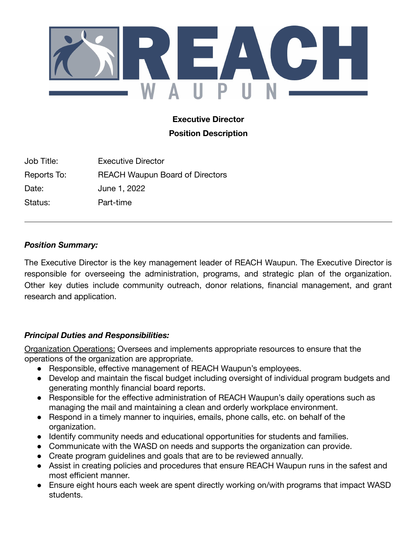

# **Executive Director Position Description**

Job Title: Executive Director Reports To: REACH Waupun Board of Directors Date: June 1, 2022 Status: Part-time

## *Position Summary:*

The Executive Director is the key management leader of REACH Waupun. The Executive Director is responsible for overseeing the administration, programs, and strategic plan of the organization. Other key duties include community outreach, donor relations, financial management, and grant research and application.

## *Principal Duties and Responsibilities:*

Organization Operations: Oversees and implements appropriate resources to ensure that the operations of the organization are appropriate.

- Responsible, effective management of REACH Waupun's employees.
- Develop and maintain the fiscal budget including oversight of individual program budgets and generating monthly financial board reports.
- Responsible for the effective administration of REACH Waupun's daily operations such as managing the mail and maintaining a clean and orderly workplace environment.
- Respond in a timely manner to inquiries, emails, phone calls, etc. on behalf of the organization.
- Identify community needs and educational opportunities for students and families.
- Communicate with the WASD on needs and supports the organization can provide.
- Create program guidelines and goals that are to be reviewed annually.
- Assist in creating policies and procedures that ensure REACH Waupun runs in the safest and most efficient manner.
- Ensure eight hours each week are spent directly working on/with programs that impact WASD students.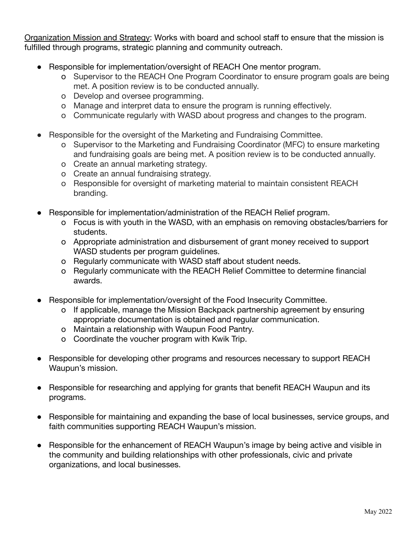Organization Mission and Strategy: Works with board and school staff to ensure that the mission is fulfilled through programs, strategic planning and community outreach.

- Responsible for implementation/oversight of REACH One mentor program.
	- o Supervisor to the REACH One Program Coordinator to ensure program goals are being met. A position review is to be conducted annually.
	- o Develop and oversee programming.
	- o Manage and interpret data to ensure the program is running effectively.
	- o Communicate regularly with WASD about progress and changes to the program.
- Responsible for the oversight of the Marketing and Fundraising Committee.
	- o Supervisor to the Marketing and Fundraising Coordinator (MFC) to ensure marketing and fundraising goals are being met. A position review is to be conducted annually.
	- o Create an annual marketing strategy.
	- o Create an annual fundraising strategy.
	- o Responsible for oversight of marketing material to maintain consistent REACH branding.
- Responsible for implementation/administration of the REACH Relief program.
	- o Focus is with youth in the WASD, with an emphasis on removing obstacles/barriers for students.
	- o Appropriate administration and disbursement of grant money received to support WASD students per program guidelines.
	- o Regularly communicate with WASD staff about student needs.
	- o Regularly communicate with the REACH Relief Committee to determine financial awards.
- Responsible for implementation/oversight of the Food Insecurity Committee.
	- o If applicable, manage the Mission Backpack partnership agreement by ensuring appropriate documentation is obtained and regular communication.
	- o Maintain a relationship with Waupun Food Pantry.
	- o Coordinate the voucher program with Kwik Trip.
- Responsible for developing other programs and resources necessary to support REACH Waupun's mission.
- Responsible for researching and applying for grants that benefit REACH Waupun and its programs.
- Responsible for maintaining and expanding the base of local businesses, service groups, and faith communities supporting REACH Waupun's mission.
- Responsible for the enhancement of REACH Waupun's image by being active and visible in the community and building relationships with other professionals, civic and private organizations, and local businesses.